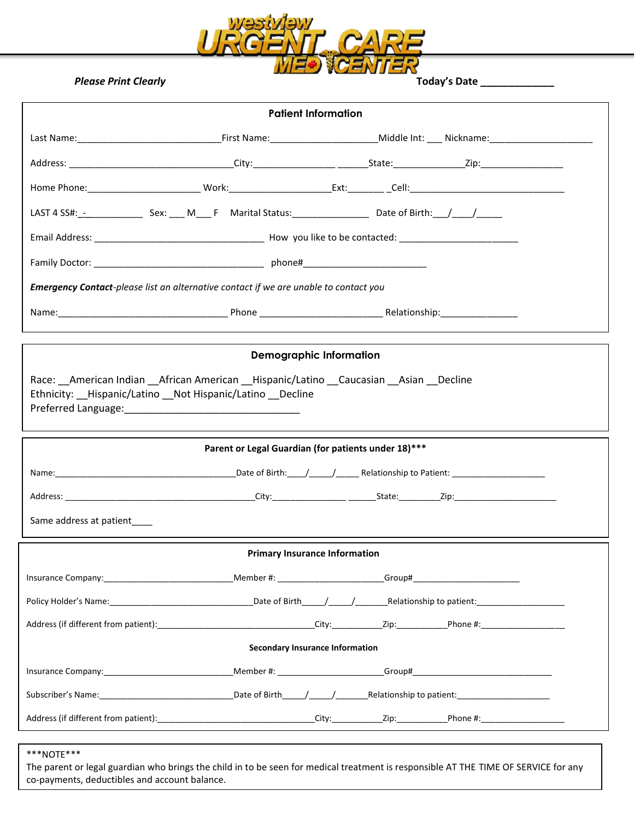

| LAST 4 SS#: - _ _ _ _ _ _ _ _ _ Sex: _ _ M _ _ F Marital Status: _ _ _ _ _ _ _ _ _ _ Date of Birth: _ _ / _ _ _ /<br><b>Emergency Contact-</b> please list an alternative contact if we are unable to contact you<br><b>Demographic Information</b><br>Race: American Indian African American Hispanic/Latino Caucasian Asian Decline<br>Ethnicity: __Hispanic/Latino __ Not Hispanic/Latino __ Decline<br>Parent or Legal Guardian (for patients under 18)***<br>Same address at patient____<br><b>Primary Insurance Information</b><br><b>Secondary Insurance Information</b> | <b>Patient Information</b> |  |  |  |  |  |  |  |  |
|---------------------------------------------------------------------------------------------------------------------------------------------------------------------------------------------------------------------------------------------------------------------------------------------------------------------------------------------------------------------------------------------------------------------------------------------------------------------------------------------------------------------------------------------------------------------------------|----------------------------|--|--|--|--|--|--|--|--|
|                                                                                                                                                                                                                                                                                                                                                                                                                                                                                                                                                                                 |                            |  |  |  |  |  |  |  |  |
|                                                                                                                                                                                                                                                                                                                                                                                                                                                                                                                                                                                 |                            |  |  |  |  |  |  |  |  |
|                                                                                                                                                                                                                                                                                                                                                                                                                                                                                                                                                                                 |                            |  |  |  |  |  |  |  |  |
|                                                                                                                                                                                                                                                                                                                                                                                                                                                                                                                                                                                 |                            |  |  |  |  |  |  |  |  |
|                                                                                                                                                                                                                                                                                                                                                                                                                                                                                                                                                                                 |                            |  |  |  |  |  |  |  |  |
|                                                                                                                                                                                                                                                                                                                                                                                                                                                                                                                                                                                 |                            |  |  |  |  |  |  |  |  |
|                                                                                                                                                                                                                                                                                                                                                                                                                                                                                                                                                                                 |                            |  |  |  |  |  |  |  |  |
|                                                                                                                                                                                                                                                                                                                                                                                                                                                                                                                                                                                 |                            |  |  |  |  |  |  |  |  |
|                                                                                                                                                                                                                                                                                                                                                                                                                                                                                                                                                                                 |                            |  |  |  |  |  |  |  |  |
|                                                                                                                                                                                                                                                                                                                                                                                                                                                                                                                                                                                 |                            |  |  |  |  |  |  |  |  |
|                                                                                                                                                                                                                                                                                                                                                                                                                                                                                                                                                                                 |                            |  |  |  |  |  |  |  |  |
|                                                                                                                                                                                                                                                                                                                                                                                                                                                                                                                                                                                 |                            |  |  |  |  |  |  |  |  |
|                                                                                                                                                                                                                                                                                                                                                                                                                                                                                                                                                                                 |                            |  |  |  |  |  |  |  |  |
|                                                                                                                                                                                                                                                                                                                                                                                                                                                                                                                                                                                 |                            |  |  |  |  |  |  |  |  |
|                                                                                                                                                                                                                                                                                                                                                                                                                                                                                                                                                                                 |                            |  |  |  |  |  |  |  |  |
|                                                                                                                                                                                                                                                                                                                                                                                                                                                                                                                                                                                 |                            |  |  |  |  |  |  |  |  |
|                                                                                                                                                                                                                                                                                                                                                                                                                                                                                                                                                                                 |                            |  |  |  |  |  |  |  |  |
|                                                                                                                                                                                                                                                                                                                                                                                                                                                                                                                                                                                 |                            |  |  |  |  |  |  |  |  |
|                                                                                                                                                                                                                                                                                                                                                                                                                                                                                                                                                                                 |                            |  |  |  |  |  |  |  |  |
|                                                                                                                                                                                                                                                                                                                                                                                                                                                                                                                                                                                 |                            |  |  |  |  |  |  |  |  |
|                                                                                                                                                                                                                                                                                                                                                                                                                                                                                                                                                                                 |                            |  |  |  |  |  |  |  |  |
|                                                                                                                                                                                                                                                                                                                                                                                                                                                                                                                                                                                 |                            |  |  |  |  |  |  |  |  |
|                                                                                                                                                                                                                                                                                                                                                                                                                                                                                                                                                                                 |                            |  |  |  |  |  |  |  |  |

# \*\*\*NOTE\*\*\*

The parent or legal guardian who brings the child in to be seen for medical treatment is responsible AT THE TIME OF SERVICE for any co-payments, deductibles and account balance.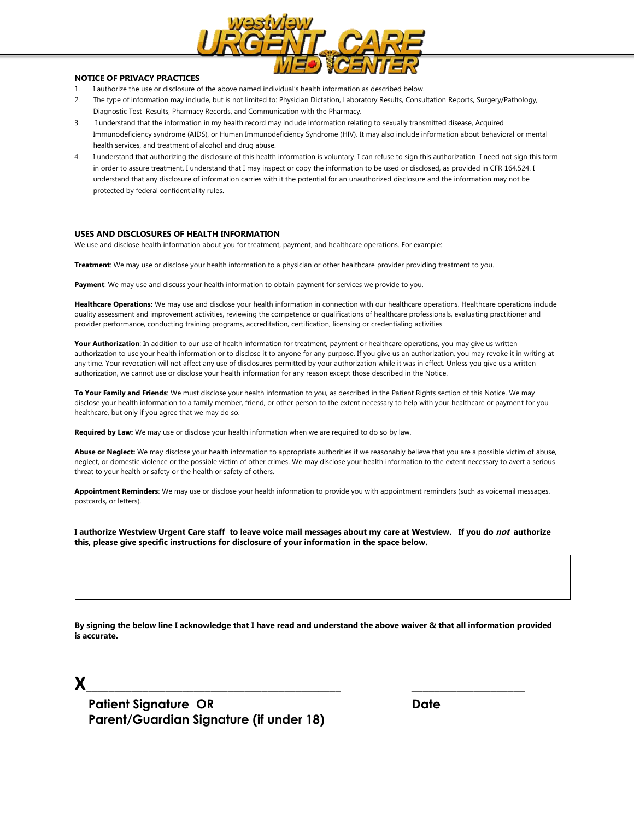

### **NOTICE OF PRIVACY PRACTICES**

- 1. I authorize the use or disclosure of the above named individual's health information as described below.
- 2. The type of information may include, but is not limited to: Physician Dictation, Laboratory Results, Consultation Reports, Surgery/Pathology, Diagnostic Test Results, Pharmacy Records, and Communication with the Pharmacy.
- 3. I understand that the information in my health record may include information relating to sexually transmitted disease, Acquired Immunodeficiency syndrome (AIDS), or Human Immunodeficiency Syndrome (HIV). It may also include information about behavioral or mental health services, and treatment of alcohol and drug abuse.
- 4. I understand that authorizing the disclosure of this health information is voluntary. I can refuse to sign this authorization. I need not sign this form in order to assure treatment. I understand that I may inspect or copy the information to be used or disclosed, as provided in CFR 164.524. I understand that any disclosure of information carries with it the potential for an unauthorized disclosure and the information may not be protected by federal confidentiality rules.

#### **USES AND DISCLOSURES OF HEALTH INFORMATION**

We use and disclose health information about you for treatment, payment, and healthcare operations. For example:

**Treatment**: We may use or disclose your health information to a physician or other healthcare provider providing treatment to you.

Payment: We may use and discuss your health information to obtain payment for services we provide to you.

**Healthcare Operations:** We may use and disclose your health information in connection with our healthcare operations. Healthcare operations include quality assessment and improvement activities, reviewing the competence or qualifications of healthcare professionals, evaluating practitioner and provider performance, conducting training programs, accreditation, certification, licensing or credentialing activities.

Your Authorization: In addition to our use of health information for treatment, payment or healthcare operations, you may give us written authorization to use your health information or to disclose it to anyone for any purpose. If you give us an authorization, you may revoke it in writing at any time. Your revocation will not affect any use of disclosures permitted by your authorization while it was in effect. Unless you give us a written authorization, we cannot use or disclose your health information for any reason except those described in the Notice.

**To Your Family and Friends**: We must disclose your health information to you, as described in the Patient Rights section of this Notice. We may disclose your health information to a family member, friend, or other person to the extent necessary to help with your healthcare or payment for you healthcare, but only if you agree that we may do so.

**Required by Law:** We may use or disclose your health information when we are required to do so by law.

**Abuse or Neglect:** We may disclose your health information to appropriate authorities if we reasonably believe that you are a possible victim of abuse, neglect, or domestic violence or the possible victim of other crimes. We may disclose your health information to the extent necessary to avert a serious threat to your health or safety or the health or safety of others.

**Appointment Reminders**: We may use or disclose your health information to provide you with appointment reminders (such as voicemail messages, postcards, or letters).

**I authorize Westview Urgent Care staff to leave voice mail messages about my care at Westview. If you do not authorize this, please give specific instructions for disclosure of your information in the space below.**

**By signing the below line I acknowledge that I have read and understand the above waiver & that all information provided is accurate.**

**X**\_\_\_\_\_\_\_\_\_\_\_\_\_\_\_\_\_\_\_\_\_\_\_\_\_\_\_\_\_\_\_\_\_\_\_\_\_\_\_\_\_\_\_\_\_ \_\_\_\_\_\_\_\_\_\_\_\_\_\_\_\_\_\_\_\_

**Patient Signature OR** Date  **Parent/Guardian Signature (if under 18)**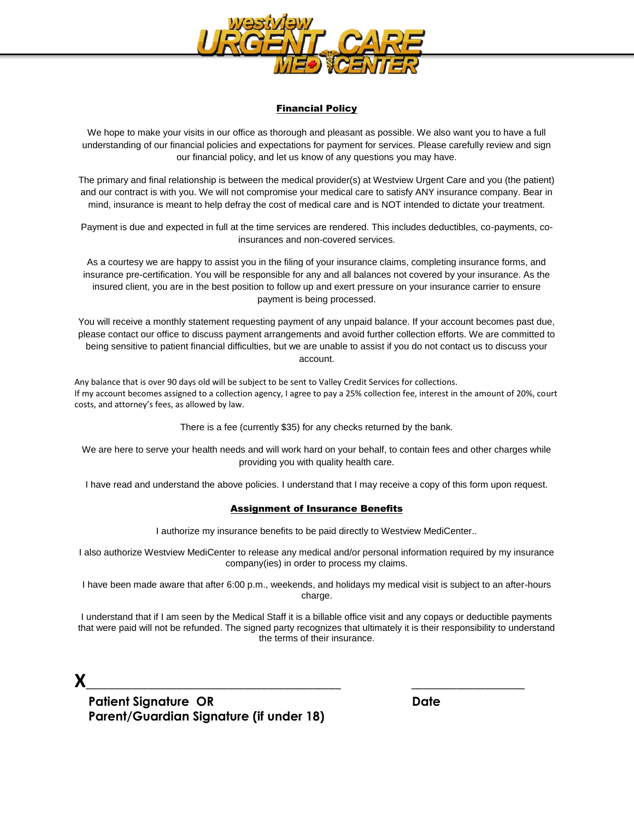

## Financial Policy

We hope to make your visits in our office as thorough and pleasant as possible. We also want you to have a full understanding of our financial policies and expectations for payment for services. Please carefully review and sign our financial policy, and let us know of any questions you may have.

The primary and final relationship is between the medical provider(s) at Westview Urgent Care and you (the patient) and our contract is with you. We will not compromise your medical care to satisfy ANY insurance company. Bear in mind, insurance is meant to help defray the cost of medical care and is NOT intended to dictate your treatment.

Payment is due and expected in full at the time services are rendered. This includes deductibles, co-payments, coinsurances and non-covered services.

As a courtesy we are happy to assist you in the filing of your insurance claims, completing insurance forms, and insurance pre-certification. You will be responsible for any and all balances not covered by your insurance. As the insured client, you are in the best position to follow up and exert pressure on your insurance carrier to ensure payment is being processed.

You will receive a monthly statement requesting payment of any unpaid balance. If your account becomes past due, please contact our office to discuss payment arrangements and avoid further collection efforts. We are committed to being sensitive to patient financial difficulties, but we are unable to assist if you do not contact us to discuss your account.

Any balance that is over 90 days old will be subject to be sent to Valley Credit Services for collections. If my account becomes assigned to a collection agency, I agree to pay a 25% collection fee, interest in the amount of 20%, court costs, and attorney's fees, as allowed by law.

There is a fee (currently \$35) for any checks returned by the bank.

We are here to serve your health needs and will work hard on your behalf, to contain fees and other charges while providing you with quality health care.

I have read and understand the above policies. I understand that I may receive a copy of this form upon request.

### Assignment of Insurance Benefits

I authorize my insurance benefits to be paid directly to Westview MediCenter..

I also authorize Westview MediCenter to release any medical and/or personal information required by my insurance company(ies) in order to process my claims.

I have been made aware that after 6:00 p.m., weekends, and holidays my medical visit is subject to an after-hours charge.

I understand that if I am seen by the Medical Staff it is a billable office visit and any copays or deductible payments that were paid will not be refunded. The signed party recognizes that ultimately it is their responsibility to understand the terms of their insurance.

**X**\_\_\_\_\_\_\_\_\_\_\_\_\_\_\_\_\_\_\_\_\_\_\_\_\_\_\_\_\_\_\_\_\_\_\_\_\_\_\_\_\_\_\_\_\_ \_\_\_\_\_\_\_\_\_\_\_\_\_\_\_\_\_\_\_\_

 **Patient Signature OR Date Parent/Guardian Signature (if under 18)**